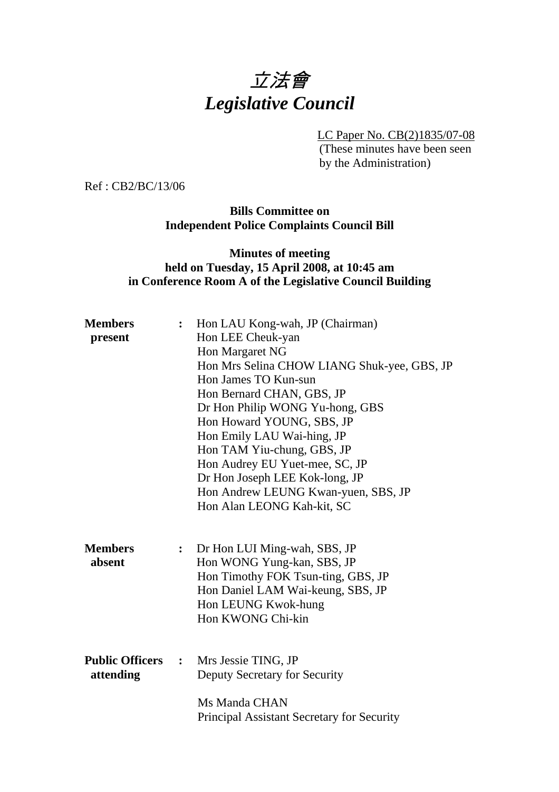# 立法會 *Legislative Council*

LC Paper No. CB(2)1835/07-08

(These minutes have been seen by the Administration)

Ref : CB2/BC/13/06

**Bills Committee on Independent Police Complaints Council Bill** 

#### **Minutes of meeting held on Tuesday, 15 April 2008, at 10:45 am in Conference Room A of the Legislative Council Building**

| <b>Members</b><br>$\ddot{\cdot}$<br>present |                | Hon LAU Kong-wah, JP (Chairman)<br>Hon LEE Cheuk-yan<br>Hon Margaret NG<br>Hon Mrs Selina CHOW LIANG Shuk-yee, GBS, JP<br>Hon James TO Kun-sun<br>Hon Bernard CHAN, GBS, JP<br>Dr Hon Philip WONG Yu-hong, GBS<br>Hon Howard YOUNG, SBS, JP<br>Hon Emily LAU Wai-hing, JP<br>Hon TAM Yiu-chung, GBS, JP<br>Hon Audrey EU Yuet-mee, SC, JP<br>Dr Hon Joseph LEE Kok-long, JP<br>Hon Andrew LEUNG Kwan-yuen, SBS, JP |  |
|---------------------------------------------|----------------|--------------------------------------------------------------------------------------------------------------------------------------------------------------------------------------------------------------------------------------------------------------------------------------------------------------------------------------------------------------------------------------------------------------------|--|
| <b>Members</b><br>absent                    | $\ddot{\cdot}$ | Hon Alan LEONG Kah-kit, SC<br>Dr Hon LUI Ming-wah, SBS, JP<br>Hon WONG Yung-kan, SBS, JP<br>Hon Timothy FOK Tsun-ting, GBS, JP<br>Hon Daniel LAM Wai-keung, SBS, JP<br>Hon LEUNG Kwok-hung<br>Hon KWONG Chi-kin                                                                                                                                                                                                    |  |
| <b>Public Officers :</b><br>attending       |                | Mrs Jessie TING, JP<br>Deputy Secretary for Security<br>Ms Manda CHAN<br>Principal Assistant Secretary for Security                                                                                                                                                                                                                                                                                                |  |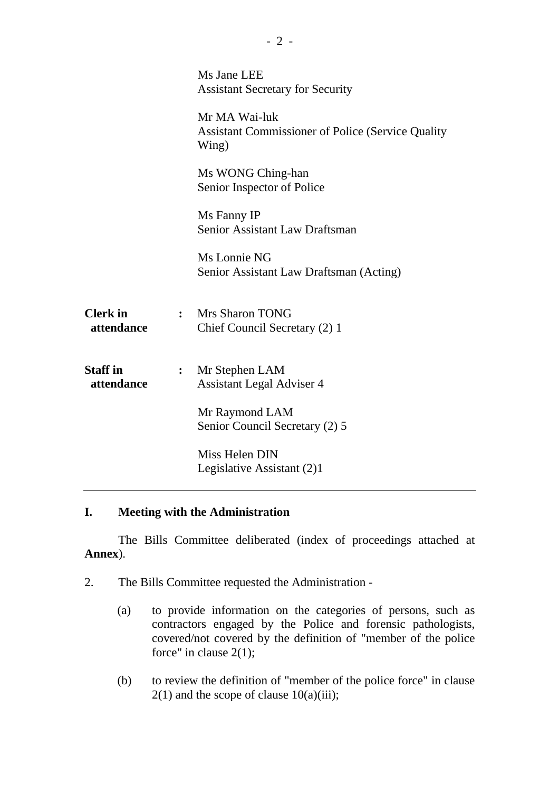|                               |                | Ms Jane LEE<br><b>Assistant Secretary for Security</b>                              |  |
|-------------------------------|----------------|-------------------------------------------------------------------------------------|--|
|                               |                | Mr MA Wai-luk<br><b>Assistant Commissioner of Police (Service Quality)</b><br>Wing) |  |
|                               |                | Ms WONG Ching-han<br>Senior Inspector of Police                                     |  |
|                               |                | Ms Fanny IP<br>Senior Assistant Law Draftsman                                       |  |
|                               |                | Ms Lonnie NG<br>Senior Assistant Law Draftsman (Acting)                             |  |
| <b>Clerk</b> in<br>attendance |                | : Mrs Sharon TONG<br>Chief Council Secretary (2) 1                                  |  |
| <b>Staff</b> in<br>attendance | $\ddot{\cdot}$ | Mr Stephen LAM<br><b>Assistant Legal Adviser 4</b>                                  |  |
|                               |                | Mr Raymond LAM<br>Senior Council Secretary (2) 5                                    |  |
|                               |                | Miss Helen DIN<br>Legislative Assistant (2)1                                        |  |

### **I. Meeting with the Administration**

1. The Bills Committee deliberated (index of proceedings attached at **Annex**).

- 2. The Bills Committee requested the Administration
	- (a) to provide information on the categories of persons, such as contractors engaged by the Police and forensic pathologists, covered/not covered by the definition of "member of the police force" in clause  $2(1)$ ;
	- (b) to review the definition of "member of the police force" in clause  $2(1)$  and the scope of clause  $10(a)(iii)$ ;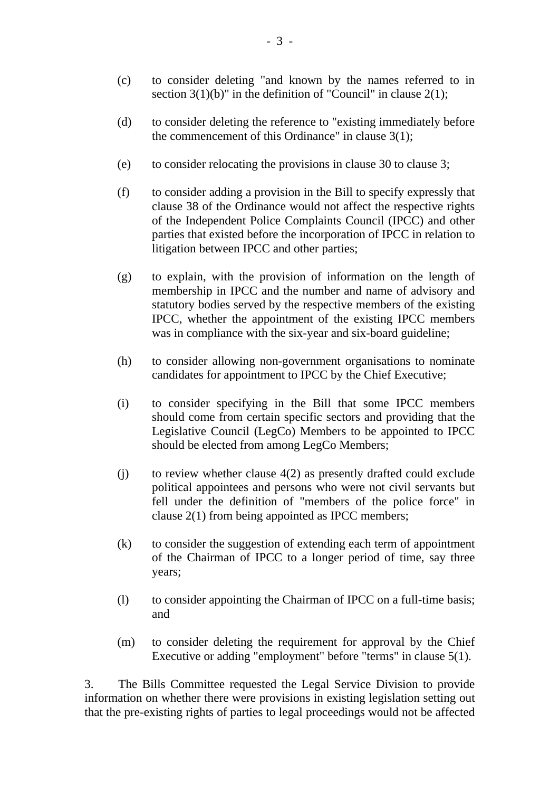- (c) to consider deleting "and known by the names referred to in section  $3(1)(b)$ " in the definition of "Council" in clause  $2(1)$ ;
- (d) to consider deleting the reference to "existing immediately before the commencement of this Ordinance" in clause 3(1);
- (e) to consider relocating the provisions in clause 30 to clause 3;
- (f) to consider adding a provision in the Bill to specify expressly that clause 38 of the Ordinance would not affect the respective rights of the Independent Police Complaints Council (IPCC) and other parties that existed before the incorporation of IPCC in relation to litigation between IPCC and other parties;
- (g) to explain, with the provision of information on the length of membership in IPCC and the number and name of advisory and statutory bodies served by the respective members of the existing IPCC, whether the appointment of the existing IPCC members was in compliance with the six-year and six-board guideline;
- (h) to consider allowing non-government organisations to nominate candidates for appointment to IPCC by the Chief Executive;
- (i) to consider specifying in the Bill that some IPCC members should come from certain specific sectors and providing that the Legislative Council (LegCo) Members to be appointed to IPCC should be elected from among LegCo Members;
- (j) to review whether clause 4(2) as presently drafted could exclude political appointees and persons who were not civil servants but fell under the definition of "members of the police force" in clause 2(1) from being appointed as IPCC members;
- (k) to consider the suggestion of extending each term of appointment of the Chairman of IPCC to a longer period of time, say three years;
- (l) to consider appointing the Chairman of IPCC on a full-time basis; and
- (m) to consider deleting the requirement for approval by the Chief Executive or adding "employment" before "terms" in clause 5(1).

3. The Bills Committee requested the Legal Service Division to provide information on whether there were provisions in existing legislation setting out that the pre-existing rights of parties to legal proceedings would not be affected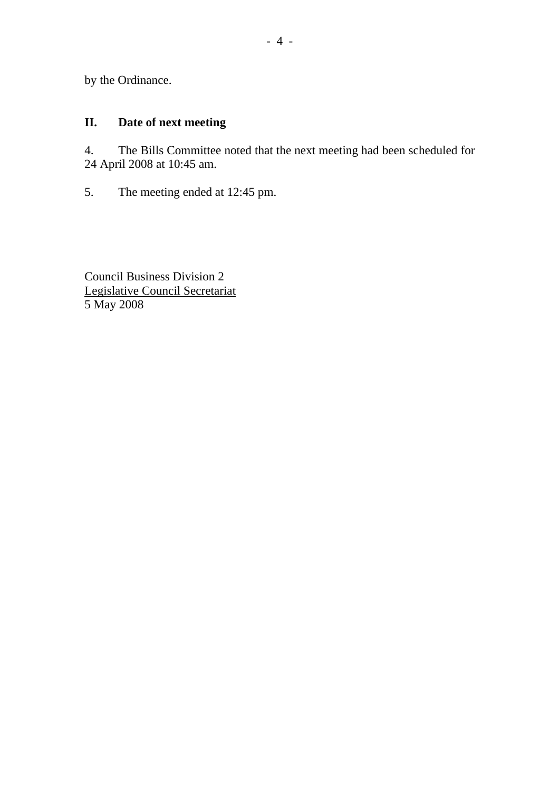by the Ordinance.

## **II. Date of next meeting**

4. The Bills Committee noted that the next meeting had been scheduled for 24 April 2008 at 10:45 am.

5. The meeting ended at 12:45 pm.

Council Business Division 2 Legislative Council Secretariat 5 May 2008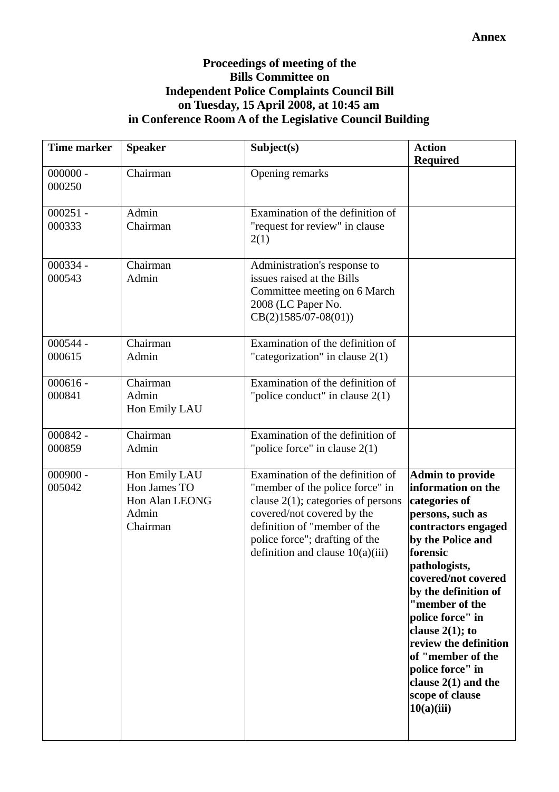#### **Proceedings of meeting of the Bills Committee on Independent Police Complaints Council Bill on Tuesday, 15 April 2008, at 10:45 am in Conference Room A of the Legislative Council Building**

| <b>Time marker</b>   | <b>Speaker</b>                                                       | Subject(s)                                                                                                                                                                                                                                         | <b>Action</b><br><b>Required</b>                                                                                                                                                                                                                                                                                                                                                                   |
|----------------------|----------------------------------------------------------------------|----------------------------------------------------------------------------------------------------------------------------------------------------------------------------------------------------------------------------------------------------|----------------------------------------------------------------------------------------------------------------------------------------------------------------------------------------------------------------------------------------------------------------------------------------------------------------------------------------------------------------------------------------------------|
| $000000 -$<br>000250 | Chairman                                                             | Opening remarks                                                                                                                                                                                                                                    |                                                                                                                                                                                                                                                                                                                                                                                                    |
| $000251 -$<br>000333 | Admin<br>Chairman                                                    | Examination of the definition of<br>"request for review" in clause<br>2(1)                                                                                                                                                                         |                                                                                                                                                                                                                                                                                                                                                                                                    |
| $000334 -$<br>000543 | Chairman<br>Admin                                                    | Administration's response to<br>issues raised at the Bills<br>Committee meeting on 6 March<br>2008 (LC Paper No.<br>$CB(2)1585/07-08(01))$                                                                                                         |                                                                                                                                                                                                                                                                                                                                                                                                    |
| $000544 -$<br>000615 | Chairman<br>Admin                                                    | Examination of the definition of<br>"categorization" in clause $2(1)$                                                                                                                                                                              |                                                                                                                                                                                                                                                                                                                                                                                                    |
| $000616 -$<br>000841 | Chairman<br>Admin<br>Hon Emily LAU                                   | Examination of the definition of<br>"police conduct" in clause $2(1)$                                                                                                                                                                              |                                                                                                                                                                                                                                                                                                                                                                                                    |
| $000842 -$<br>000859 | Chairman<br>Admin                                                    | Examination of the definition of<br>"police force" in clause $2(1)$                                                                                                                                                                                |                                                                                                                                                                                                                                                                                                                                                                                                    |
| $000900 -$<br>005042 | Hon Emily LAU<br>Hon James TO<br>Hon Alan LEONG<br>Admin<br>Chairman | Examination of the definition of<br>"member of the police force" in<br>clause $2(1)$ ; categories of persons<br>covered/not covered by the<br>definition of "member of the<br>police force"; drafting of the<br>definition and clause $10(a)(iii)$ | <b>Admin to provide</b><br>information on the<br>categories of<br>persons, such as<br>contractors engaged<br>by the Police and<br>forensic<br>pathologists,<br>covered/not covered<br>by the definition of<br>"member of the<br>police force" in<br>clause $2(1)$ ; to<br>review the definition<br>of "member of the<br>police force" in<br>clause $2(1)$ and the<br>scope of clause<br>10(a)(iii) |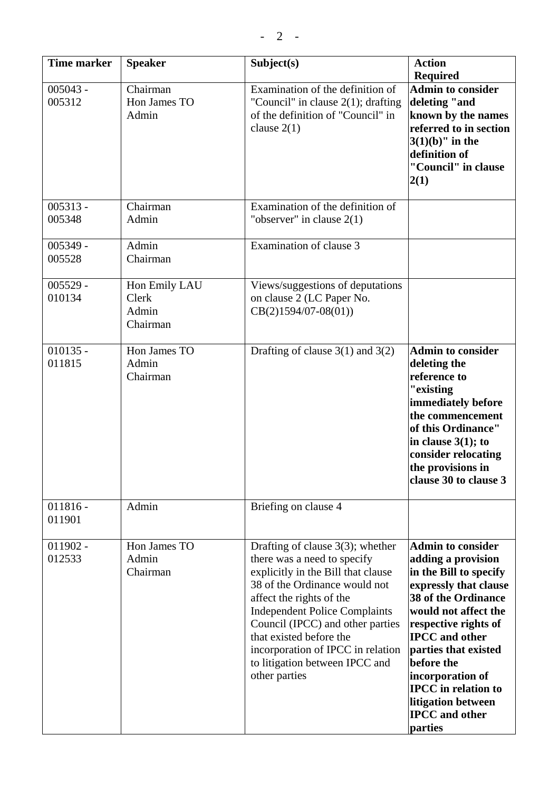| <b>Time marker</b>   | <b>Speaker</b>                              | Subject(s)                                                                                                                                                                                                                                                                                                                                                           | <b>Action</b><br><b>Required</b>                                                                                                                                                                                                                                                                                                                           |
|----------------------|---------------------------------------------|----------------------------------------------------------------------------------------------------------------------------------------------------------------------------------------------------------------------------------------------------------------------------------------------------------------------------------------------------------------------|------------------------------------------------------------------------------------------------------------------------------------------------------------------------------------------------------------------------------------------------------------------------------------------------------------------------------------------------------------|
| $005043 -$<br>005312 | Chairman<br>Hon James TO<br>Admin           | Examination of the definition of<br>"Council" in clause $2(1)$ ; drafting<br>of the definition of "Council" in<br>clause $2(1)$                                                                                                                                                                                                                                      | <b>Admin to consider</b><br>deleting "and<br>known by the names<br>referred to in section<br>$3(1)(b)$ " in the<br>definition of<br>"Council" in clause<br>2(1)                                                                                                                                                                                            |
| $005313 -$<br>005348 | Chairman<br>Admin                           | Examination of the definition of<br>"observer" in clause $2(1)$                                                                                                                                                                                                                                                                                                      |                                                                                                                                                                                                                                                                                                                                                            |
| $005349 -$<br>005528 | Admin<br>Chairman                           | Examination of clause 3                                                                                                                                                                                                                                                                                                                                              |                                                                                                                                                                                                                                                                                                                                                            |
| $005529 -$<br>010134 | Hon Emily LAU<br>Clerk<br>Admin<br>Chairman | Views/suggestions of deputations<br>on clause 2 (LC Paper No.<br>$CB(2)1594/07-08(01))$                                                                                                                                                                                                                                                                              |                                                                                                                                                                                                                                                                                                                                                            |
| $010135 -$<br>011815 | Hon James TO<br>Admin<br>Chairman           | Drafting of clause $3(1)$ and $3(2)$                                                                                                                                                                                                                                                                                                                                 | <b>Admin to consider</b><br>deleting the<br>reference to<br>"existing<br>immediately before<br>the commencement<br>of this Ordinance"<br>in clause $3(1)$ ; to<br>consider relocating<br>the provisions in<br>clause 30 to clause 3                                                                                                                        |
| $011816 -$<br>011901 | Admin                                       | Briefing on clause 4                                                                                                                                                                                                                                                                                                                                                 |                                                                                                                                                                                                                                                                                                                                                            |
| $011902 -$<br>012533 | Hon James TO<br>Admin<br>Chairman           | Drafting of clause $3(3)$ ; whether<br>there was a need to specify<br>explicitly in the Bill that clause<br>38 of the Ordinance would not<br>affect the rights of the<br><b>Independent Police Complaints</b><br>Council (IPCC) and other parties<br>that existed before the<br>incorporation of IPCC in relation<br>to litigation between IPCC and<br>other parties | <b>Admin to consider</b><br>adding a provision<br>in the Bill to specify<br>expressly that clause<br><b>38 of the Ordinance</b><br>would not affect the<br>respective rights of<br><b>IPCC</b> and other<br>parties that existed<br>before the<br>incorporation of<br><b>IPCC</b> in relation to<br>litigation between<br><b>IPCC</b> and other<br>parties |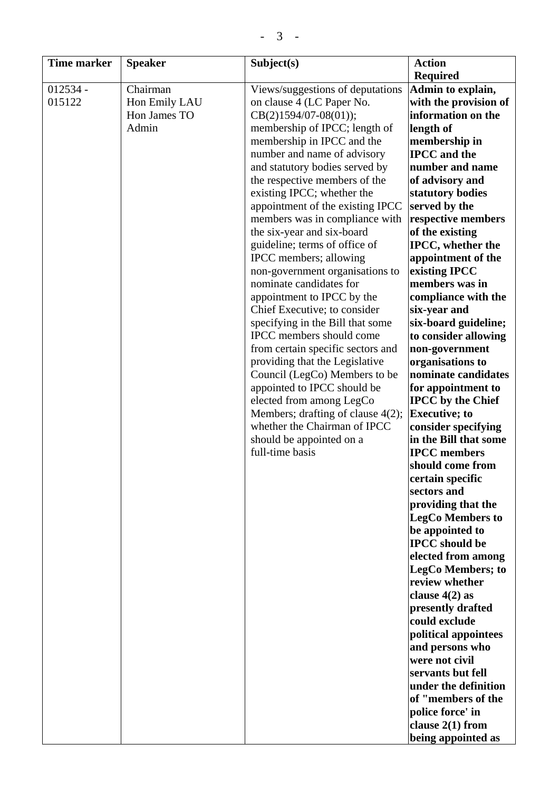| <b>Time marker</b> | <b>Speaker</b> | Subject(s)                           | <b>Action</b>             |
|--------------------|----------------|--------------------------------------|---------------------------|
|                    |                |                                      | <b>Required</b>           |
| $012534 -$         | Chairman       | Views/suggestions of deputations     | Admin to explain,         |
| 015122             | Hon Emily LAU  | on clause 4 (LC Paper No.            | with the provision of     |
|                    | Hon James TO   | $CB(2)1594/07-08(01));$              | information on the        |
|                    | Admin          | membership of IPCC; length of        | length of                 |
|                    |                | membership in IPCC and the           | membership in             |
|                    |                | number and name of advisory          | <b>IPCC</b> and the       |
|                    |                | and statutory bodies served by       | number and name           |
|                    |                | the respective members of the        | of advisory and           |
|                    |                | existing IPCC; whether the           | statutory bodies          |
|                    |                | appointment of the existing IPCC     | served by the             |
|                    |                | members was in compliance with       | respective members        |
|                    |                | the six-year and six-board           | of the existing           |
|                    |                | guideline; terms of office of        | <b>IPCC</b> , whether the |
|                    |                | IPCC members; allowing               | appointment of the        |
|                    |                | non-government organisations to      | existing IPCC             |
|                    |                | nominate candidates for              | members was in            |
|                    |                | appointment to IPCC by the           | compliance with the       |
|                    |                | Chief Executive; to consider         | six-year and              |
|                    |                | specifying in the Bill that some     | six-board guideline;      |
|                    |                | IPCC members should come             | to consider allowing      |
|                    |                | from certain specific sectors and    | non-government            |
|                    |                | providing that the Legislative       | organisations to          |
|                    |                | Council (LegCo) Members to be        | nominate candidates       |
|                    |                | appointed to IPCC should be          | for appointment to        |
|                    |                | elected from among LegCo             | <b>IPCC</b> by the Chief  |
|                    |                | Members; drafting of clause $4(2)$ ; | <b>Executive</b> ; to     |
|                    |                | whether the Chairman of IPCC         | consider specifying       |
|                    |                | should be appointed on a             | in the Bill that some     |
|                    |                | full-time basis                      | <b>IPCC</b> members       |
|                    |                |                                      | should come from          |
|                    |                |                                      | certain specific          |
|                    |                |                                      | sectors and               |
|                    |                |                                      | providing that the        |
|                    |                |                                      | <b>LegCo Members to</b>   |
|                    |                |                                      | be appointed to           |
|                    |                |                                      | <b>IPCC</b> should be     |
|                    |                |                                      | elected from among        |
|                    |                |                                      | <b>LegCo Members; to</b>  |
|                    |                |                                      | review whether            |
|                    |                |                                      | clause $4(2)$ as          |
|                    |                |                                      | presently drafted         |
|                    |                |                                      | could exclude             |
|                    |                |                                      | political appointees      |
|                    |                |                                      | and persons who           |
|                    |                |                                      | were not civil            |
|                    |                |                                      | servants but fell         |
|                    |                |                                      | under the definition      |
|                    |                |                                      | of "members of the        |
|                    |                |                                      | police force' in          |
|                    |                |                                      | clause $2(1)$ from        |
|                    |                |                                      | being appointed as        |